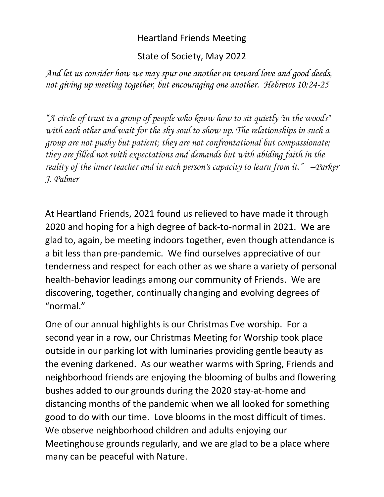## Heartland Friends Meeting

State of Society, May 2022

*And let us consider how we may spur one another on toward love and good deeds, not giving up meeting together, but encouraging one another. Hebrews 10:24-25*

*"A circle of trust is a group of people who know how to sit quietly "in the woods" with each other and wait for the shy soul to show up. The relationships in such a group are not pushy but patient; they are not confrontational but compassionate; they are filled not with expectations and demands but with abiding faith in the reality of the inner teacher and in each person's capacity to learn from it." –Parker J. Palmer*

At Heartland Friends, 2021 found us relieved to have made it through 2020 and hoping for a high degree of back-to-normal in 2021. We are glad to, again, be meeting indoors together, even though attendance is a bit less than pre-pandemic. We find ourselves appreciative of our tenderness and respect for each other as we share a variety of personal health-behavior leadings among our community of Friends. We are discovering, together, continually changing and evolving degrees of "normal."

One of our annual highlights is our Christmas Eve worship. For a second year in a row, our Christmas Meeting for Worship took place outside in our parking lot with luminaries providing gentle beauty as the evening darkened. As our weather warms with Spring, Friends and neighborhood friends are enjoying the blooming of bulbs and flowering bushes added to our grounds during the 2020 stay-at-home and distancing months of the pandemic when we all looked for something good to do with our time. Love blooms in the most difficult of times. We observe neighborhood children and adults enjoying our Meetinghouse grounds regularly, and we are glad to be a place where many can be peaceful with Nature.